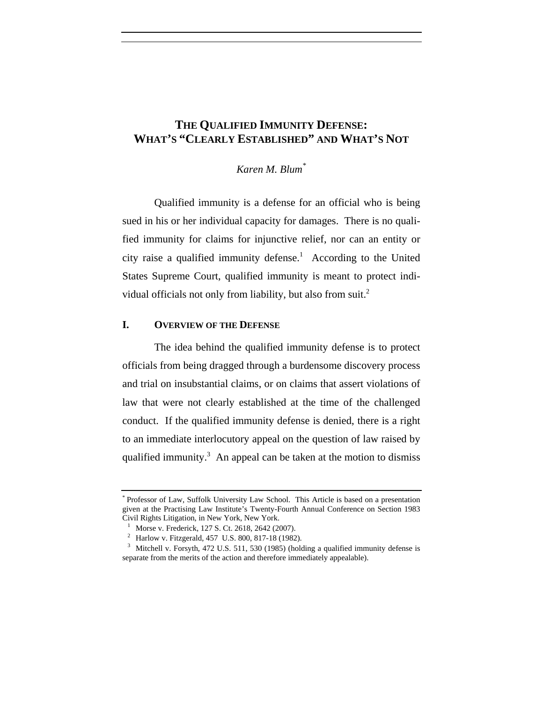# **THE QUALIFIED IMMUNITY DEFENSE: WHAT'S "CLEARLY ESTABLISHED" AND WHAT'S NOT**

*Karen M. Blum\**

Qualified immunity is a defense for an official who is being sued in his or her individual capacity for damages. There is no qualified immunity for claims for injunctive relief, nor can an entity or city raise a qualified immunity defense.<sup>1</sup> According to the United States Supreme Court, qualified immunity is meant to protect individual officials not only from liability, but also from suit.<sup>2</sup>

### **I. OVERVIEW OF THE DEFENSE**

The idea behind the qualified immunity defense is to protect officials from being dragged through a burdensome discovery process and trial on insubstantial claims, or on claims that assert violations of law that were not clearly established at the time of the challenged conduct. If the qualified immunity defense is denied, there is a right to an immediate interlocutory appeal on the question of law raised by qualified immunity.<sup>3</sup> An appeal can be taken at the motion to dismiss

<sup>\*</sup> Professor of Law, Suffolk University Law School. This Article is based on a presentation given at the Practising Law Institute's Twenty-Fourth Annual Conference on Section 1983 Civil Rights Litigation, in New York, New York.<br>  $\frac{1}{1}$  Morse v. Frederick, 127 S. Ct. 2618, 2642 (2007).<br>  $\frac{2}{1}$  Harlow v. Fitzgerald, 457 U.S. 800, 817-18 (1982).<br>  $\frac{3}{1}$  Mitchell v. Forsyth, 472 U.S. 511, 530

separate from the merits of the action and therefore immediately appealable).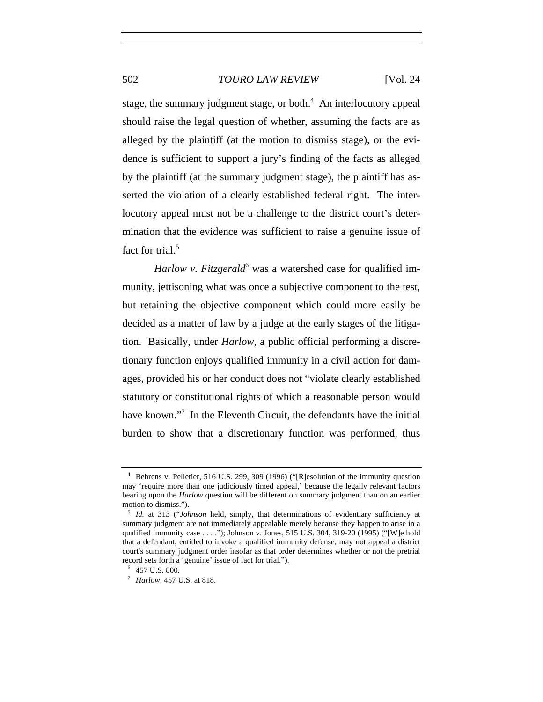stage, the summary judgment stage, or both. $4$  An interlocutory appeal should raise the legal question of whether, assuming the facts are as alleged by the plaintiff (at the motion to dismiss stage), or the evidence is sufficient to support a jury's finding of the facts as alleged by the plaintiff (at the summary judgment stage), the plaintiff has asserted the violation of a clearly established federal right. The interlocutory appeal must not be a challenge to the district court's determination that the evidence was sufficient to raise a genuine issue of fact for trial.<sup>5</sup>

Harlow v. Fitzgerald<sup>6</sup> was a watershed case for qualified immunity, jettisoning what was once a subjective component to the test, but retaining the objective component which could more easily be decided as a matter of law by a judge at the early stages of the litigation. Basically, under *Harlow*, a public official performing a discretionary function enjoys qualified immunity in a civil action for damages, provided his or her conduct does not "violate clearly established statutory or constitutional rights of which a reasonable person would have known."<sup>7</sup> In the Eleventh Circuit, the defendants have the initial burden to show that a discretionary function was performed, thus

<sup>4</sup> Behrens v. Pelletier, 516 U.S. 299, 309 (1996) ("[R]esolution of the immunity question may 'require more than one judiciously timed appeal,' because the legally relevant factors bearing upon the *Harlow* question will be different on summary judgment than on an earlier motion to dismiss.").

<sup>5</sup> *Id.* at 313 ("*Johnson* held, simply, that determinations of evidentiary sufficiency at summary judgment are not immediately appealable merely because they happen to arise in a qualified immunity case . . . ."); Johnson v. Jones, 515 U.S. 304, 319-20 (1995) ("[W]e hold that a defendant, entitled to invoke a qualified immunity defense, may not appeal a district court's summary judgment order insofar as that order determines whether or not the pretrial record sets forth a 'genuine' issue of fact for trial.").

<sup>&</sup>lt;sup>7</sup> *Harlow*, 457 U.S. at 818.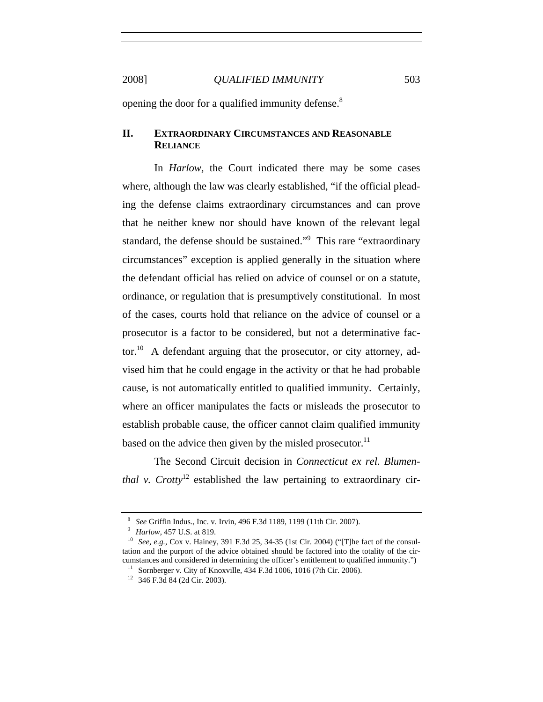opening the door for a qualified immunity defense.<sup>8</sup>

### **II. EXTRAORDINARY CIRCUMSTANCES AND REASONABLE RELIANCE**

In *Harlow,* the Court indicated there may be some cases where, although the law was clearly established, "if the official pleading the defense claims extraordinary circumstances and can prove that he neither knew nor should have known of the relevant legal standard, the defense should be sustained."<sup>9</sup> This rare "extraordinary circumstances" exception is applied generally in the situation where the defendant official has relied on advice of counsel or on a statute, ordinance, or regulation that is presumptively constitutional. In most of the cases, courts hold that reliance on the advice of counsel or a prosecutor is a factor to be considered, but not a determinative factor.<sup>10</sup> A defendant arguing that the prosecutor, or city attorney, advised him that he could engage in the activity or that he had probable cause, is not automatically entitled to qualified immunity. Certainly, where an officer manipulates the facts or misleads the prosecutor to establish probable cause, the officer cannot claim qualified immunity based on the advice then given by the misled prosecutor.<sup>11</sup>

The Second Circuit decision in *Connecticut ex rel. Blumenthal v. Crotty*<sup>12</sup> established the law pertaining to extraordinary cir-

<sup>&</sup>lt;sup>8</sup> *See* Griffin Indus., Inc. v. Irvin, 496 F.3d 1189, 1199 (11th Cir. 2007).<br><sup>9</sup> *Harlow*, 457 U.S. at 819. 10 *See, e.g.*, Cox v. Hainey, 391 F.3d 25, 34-35 (1st Cir. 2004) ("[T]he fact of the consultation and the purport of the advice obtained should be factored into the totality of the circumstances and considered in determining the officer's entitlement to qualified immunity.")<br><sup>11</sup> Sornberger v. City of Knoxville, 434 F.3d 1006, 1016 (7th Cir. 2006).<br><sup>12</sup> 346 F.3d 84 (2d Cir. 2003).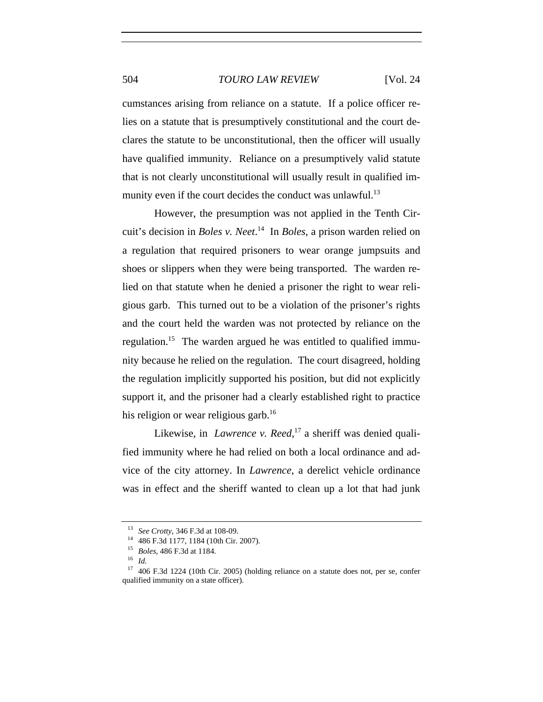cumstances arising from reliance on a statute. If a police officer relies on a statute that is presumptively constitutional and the court declares the statute to be unconstitutional, then the officer will usually have qualified immunity. Reliance on a presumptively valid statute that is not clearly unconstitutional will usually result in qualified immunity even if the court decides the conduct was unlawful. $^{13}$ 

However, the presumption was not applied in the Tenth Circuit's decision in *Boles v. Neet*. 14 In *Boles*, a prison warden relied on a regulation that required prisoners to wear orange jumpsuits and shoes or slippers when they were being transported. The warden relied on that statute when he denied a prisoner the right to wear religious garb. This turned out to be a violation of the prisoner's rights and the court held the warden was not protected by reliance on the regulation.<sup>15</sup> The warden argued he was entitled to qualified immunity because he relied on the regulation. The court disagreed, holding the regulation implicitly supported his position, but did not explicitly support it, and the prisoner had a clearly established right to practice his religion or wear religious garb.<sup>16</sup>

Likewise, in *Lawrence v. Reed*,<sup>17</sup> a sheriff was denied qualified immunity where he had relied on both a local ordinance and advice of the city attorney. In *Lawrence*, a derelict vehicle ordinance was in effect and the sheriff wanted to clean up a lot that had junk

<sup>13</sup> *See Crotty*, 346 F.3d at 108-09. 14 486 F.3d 1177, 1184 (10th Cir. 2007). 15 *Boles*, 486 F.3d at 1184. 16 *Id.*

<sup>&</sup>lt;sup>17</sup> 406 F.3d 1224 (10th Cir. 2005) (holding reliance on a statute does not, per se, confer qualified immunity on a state officer).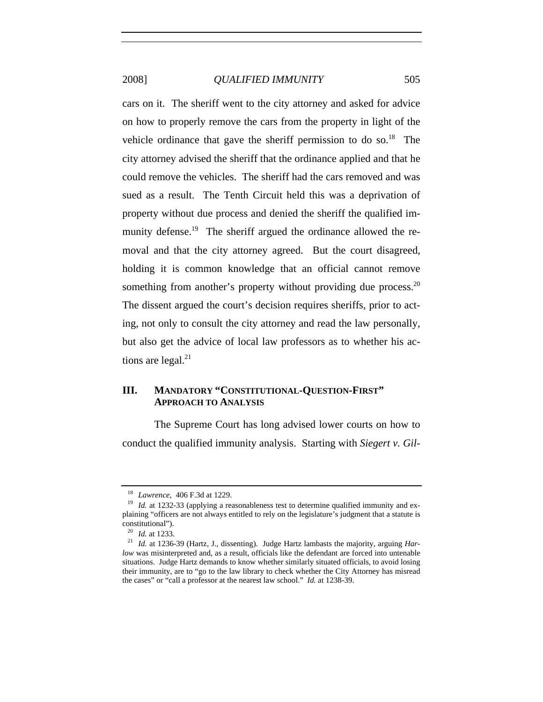cars on it. The sheriff went to the city attorney and asked for advice on how to properly remove the cars from the property in light of the vehicle ordinance that gave the sheriff permission to do so.<sup>18</sup> The city attorney advised the sheriff that the ordinance applied and that he could remove the vehicles. The sheriff had the cars removed and was sued as a result. The Tenth Circuit held this was a deprivation of property without due process and denied the sheriff the qualified immunity defense.<sup>19</sup> The sheriff argued the ordinance allowed the removal and that the city attorney agreed. But the court disagreed, holding it is common knowledge that an official cannot remove something from another's property without providing due process. $20$ The dissent argued the court's decision requires sheriffs, prior to acting, not only to consult the city attorney and read the law personally, but also get the advice of local law professors as to whether his actions are legal. $^{21}$ 

### **III. MANDATORY "CONSTITUTIONAL-QUESTION-FIRST" APPROACH TO ANALYSIS**

The Supreme Court has long advised lower courts on how to conduct the qualified immunity analysis. Starting with *Siegert v. Gil-*

<sup>&</sup>lt;sup>18</sup> *Lawrence*, 406 F.3d at 1229.<br><sup>19</sup> *Id.* at 1232-33 (applying a reasonableness test to determine qualified immunity and explaining "officers are not always entitled to rely on the legislature's judgment that a statute is constitutional").<br><sup>20</sup> *Id.* at 1233.

<sup>&</sup>lt;sup>21</sup> *Id.* at 1236-39 (Hartz, J., dissenting). Judge Hartz lambasts the majority, arguing *Harlow* was misinterpreted and, as a result, officials like the defendant are forced into untenable situations. Judge Hartz demands to know whether similarly situated officials, to avoid losing their immunity, are to "go to the law library to check whether the City Attorney has misread the cases" or "call a professor at the nearest law school." *Id.* at 1238-39.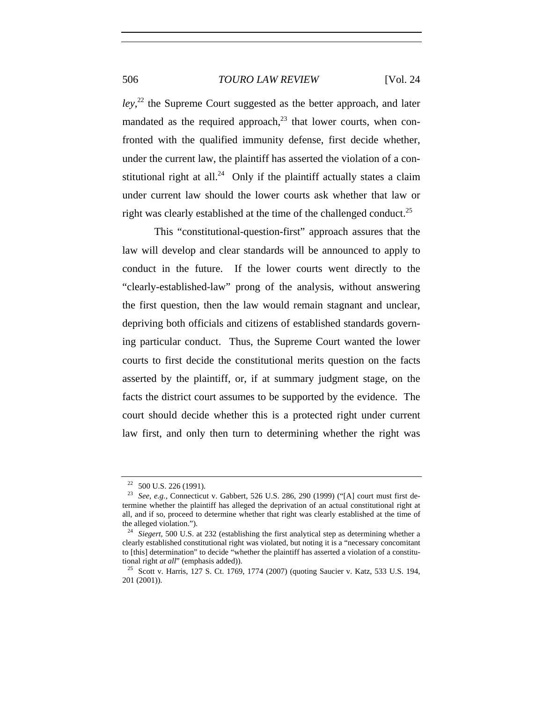*ley*, 22 the Supreme Court suggested as the better approach, and later mandated as the required approach, $^{23}$  that lower courts, when confronted with the qualified immunity defense, first decide whether, under the current law, the plaintiff has asserted the violation of a constitutional right at all.<sup>24</sup> Only if the plaintiff actually states a claim under current law should the lower courts ask whether that law or right was clearly established at the time of the challenged conduct.<sup>25</sup>

This "constitutional-question-first" approach assures that the law will develop and clear standards will be announced to apply to conduct in the future. If the lower courts went directly to the "clearly-established-law" prong of the analysis, without answering the first question, then the law would remain stagnant and unclear, depriving both officials and citizens of established standards governing particular conduct. Thus, the Supreme Court wanted the lower courts to first decide the constitutional merits question on the facts asserted by the plaintiff, or, if at summary judgment stage, on the facts the district court assumes to be supported by the evidence. The court should decide whether this is a protected right under current law first, and only then turn to determining whether the right was

<sup>22</sup> 500 U.S. 226 (1991). 23 *See, e.g.*, Connecticut v. Gabbert, 526 U.S. 286, 290 (1999) ("[A] court must first determine whether the plaintiff has alleged the deprivation of an actual constitutional right at all, and if so, proceed to determine whether that right was clearly established at the time of the alleged violation.").

<sup>&</sup>lt;sup>24</sup> Siegert, 500 U.S. at 232 (establishing the first analytical step as determining whether a clearly established constitutional right was violated, but noting it is a "necessary concomitant to [this] determination" to decide "whether the plaintiff has asserted a violation of a constitutional right *at all*" (emphasis added)).<br><sup>25</sup> Scott v. Harris, 127 S. Ct. 1769, 1774 (2007) (quoting Saucier v. Katz, 533 U.S. 194,

<sup>201 (2001)).</sup>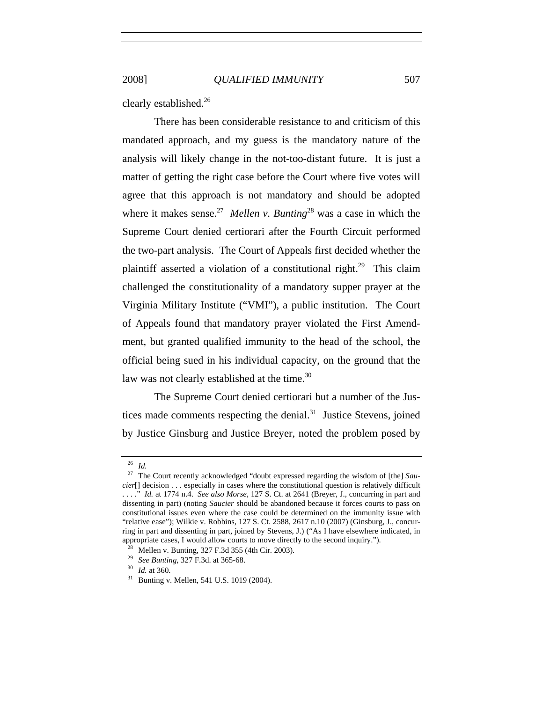clearly established.26

There has been considerable resistance to and criticism of this mandated approach, and my guess is the mandatory nature of the analysis will likely change in the not-too-distant future. It is just a matter of getting the right case before the Court where five votes will agree that this approach is not mandatory and should be adopted where it makes sense.<sup>27</sup> *Mellen v. Bunting*<sup>28</sup> was a case in which the Supreme Court denied certiorari after the Fourth Circuit performed the two-part analysis. The Court of Appeals first decided whether the plaintiff asserted a violation of a constitutional right.<sup>29</sup> This claim challenged the constitutionality of a mandatory supper prayer at the Virginia Military Institute ("VMI"), a public institution. The Court of Appeals found that mandatory prayer violated the First Amendment, but granted qualified immunity to the head of the school, the official being sued in his individual capacity, on the ground that the law was not clearly established at the time.<sup>30</sup>

The Supreme Court denied certiorari but a number of the Justices made comments respecting the denial.<sup>31</sup> Justice Stevens, joined by Justice Ginsburg and Justice Breyer, noted the problem posed by

<sup>26</sup> *Id.*

<sup>27</sup> The Court recently acknowledged "doubt expressed regarding the wisdom of [the] *Saucier*[] decision . . . especially in cases where the constitutional question is relatively difficult . . . ." *Id.* at 1774 n.4. *See also Morse*, 127 S. Ct. at 2641 (Breyer, J., concurring in part and dissenting in part) (noting *Saucier* should be abandoned because it forces courts to pass on constitutional issues even where the case could be determined on the immunity issue with "relative ease"); Wilkie v. Robbins, 127 S. Ct. 2588, 2617 n.10 (2007) (Ginsburg, J., concurring in part and dissenting in part, joined by Stevens, J.) ("As I have elsewhere indicated, in appropriate cases, I would allow courts to move directly to the second inquiry.").<br><sup>28</sup> Mellen v. Bunting, 327 F.3d 355 (4th Cir. 2003).<br><sup>29</sup> See Bunting, 327 F.3d. at 365-68.<br><sup>30</sup> Id. at 360.<br><sup>31</sup> Bunting v. Mellen, 541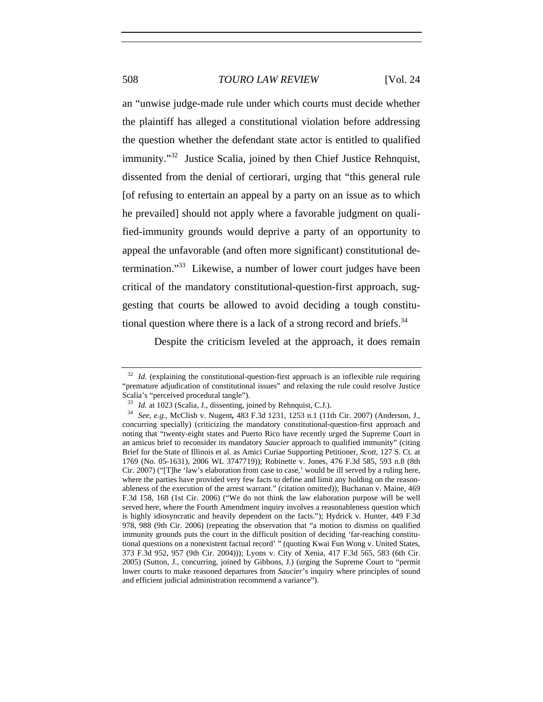an "unwise judge-made rule under which courts must decide whether the plaintiff has alleged a constitutional violation before addressing the question whether the defendant state actor is entitled to qualified immunity."32 Justice Scalia, joined by then Chief Justice Rehnquist, dissented from the denial of certiorari, urging that "this general rule [of refusing to entertain an appeal by a party on an issue as to which he prevailed] should not apply where a favorable judgment on qualified-immunity grounds would deprive a party of an opportunity to appeal the unfavorable (and often more significant) constitutional determination."33 Likewise, a number of lower court judges have been critical of the mandatory constitutional-question-first approach, suggesting that courts be allowed to avoid deciding a tough constitutional question where there is a lack of a strong record and briefs.<sup>34</sup>

Despite the criticism leveled at the approach, it does remain

<sup>&</sup>lt;sup>32</sup> *Id.* (explaining the constitutional-question-first approach is an inflexible rule requiring "premature adjudication of constitutional issues" and relaxing the rule could resolve Justice Scalia's "perceived procedural tangle").

<sup>33</sup> *Id.* at 1023 (Scalia, J., dissenting, joined by Rehnquist, C.J.). 34 *See, e.g.*, McClish v. Nugent*,* 483 F.3d 1231, 1253 n.1 (11th Cir. 2007) (Anderson, J., concurring specially) (criticizing the mandatory constitutional-question-first approach and noting that "twenty-eight states and Puerto Rico have recently urged the Supreme Court in an amicus brief to reconsider its mandatory *Saucier* approach to qualified immunity" (citing Brief for the State of Illinois et al. as Amici Curiae Supporting Petitioner, *Scott*, 127 S. Ct. at 1769 (No. 05-1631), 2006 WL 3747719)); Robinette v. Jones, 476 F.3d 585, 593 n.8 (8th Cir. 2007) ("[T]he 'law's elaboration from case to case,' would be ill served by a ruling here, where the parties have provided very few facts to define and limit any holding on the reasonableness of the execution of the arrest warrant." (citation omitted)); Buchanan v. Maine, 469 F.3d 158, 168 (1st Cir. 2006) ("We do not think the law elaboration purpose will be well served here, where the Fourth Amendment inquiry involves a reasonableness question which is highly idiosyncratic and heavily dependent on the facts."); Hydrick v. Hunter, 449 F.3d 978, 988 (9th Cir. 2006) (repeating the observation that "a motion to dismiss on qualified immunity grounds puts the court in the difficult position of deciding 'far-reaching constitutional questions on a nonexistent factual record' " (quoting Kwai Fun Wong v. United States, 373 F.3d 952, 957 (9th Cir. 2004))); Lyons v. City of Xenia, 417 F.3d 565, 583 (6th Cir. 2005) (Sutton, J., concurring, joined by Gibbons, J.) (urging the Supreme Court to "permit lower courts to make reasoned departures from *Saucier*'s inquiry where principles of sound and efficient judicial administration recommend a variance").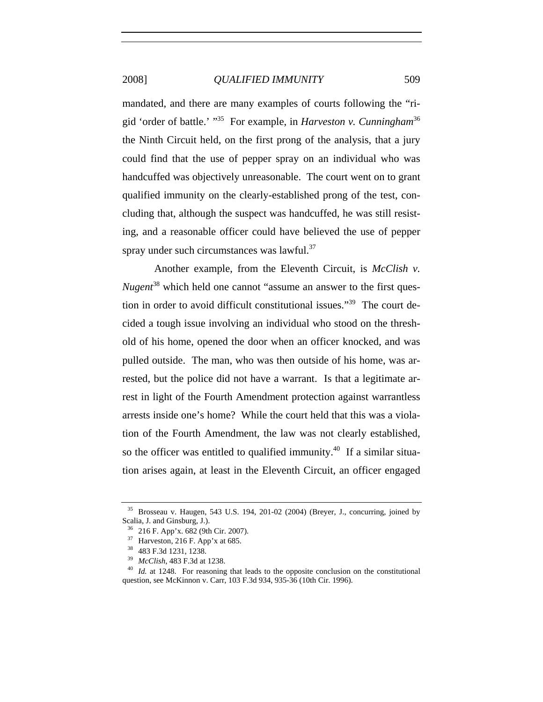mandated, and there are many examples of courts following the "rigid 'order of battle.' "35 For example, in *Harveston v. Cunningham*<sup>36</sup> the Ninth Circuit held, on the first prong of the analysis, that a jury could find that the use of pepper spray on an individual who was handcuffed was objectively unreasonable. The court went on to grant qualified immunity on the clearly-established prong of the test, concluding that, although the suspect was handcuffed, he was still resisting, and a reasonable officer could have believed the use of pepper spray under such circumstances was lawful. $37$ 

Another example, from the Eleventh Circuit, is *McClish v. Nugent*<sup>38</sup> which held one cannot "assume an answer to the first question in order to avoid difficult constitutional issues."39 The court decided a tough issue involving an individual who stood on the threshold of his home, opened the door when an officer knocked, and was pulled outside. The man, who was then outside of his home, was arrested, but the police did not have a warrant. Is that a legitimate arrest in light of the Fourth Amendment protection against warrantless arrests inside one's home? While the court held that this was a violation of the Fourth Amendment, the law was not clearly established, so the officer was entitled to qualified immunity.<sup>40</sup> If a similar situation arises again, at least in the Eleventh Circuit, an officer engaged

<sup>35</sup> Brosseau v. Haugen, 543 U.S. 194, 201-02 (2004) (Breyer, J., concurring, joined by Scalia, J. and Ginsburg, J.).<br>  $36$  216 F. App'x. 682 (9th Cir. 2007).<br>  $37$  Harveston, 216 F. App'x at 685.<br>  $38$  483 F.3d 1231, 1238.<br>  $39$  *McClish*, 483 F.3d at 1238.<br>  $40$  *Id.* at 1248. For reasoning that leads to t

question, see McKinnon v. Carr, 103 F.3d 934, 935-36 (10th Cir. 1996).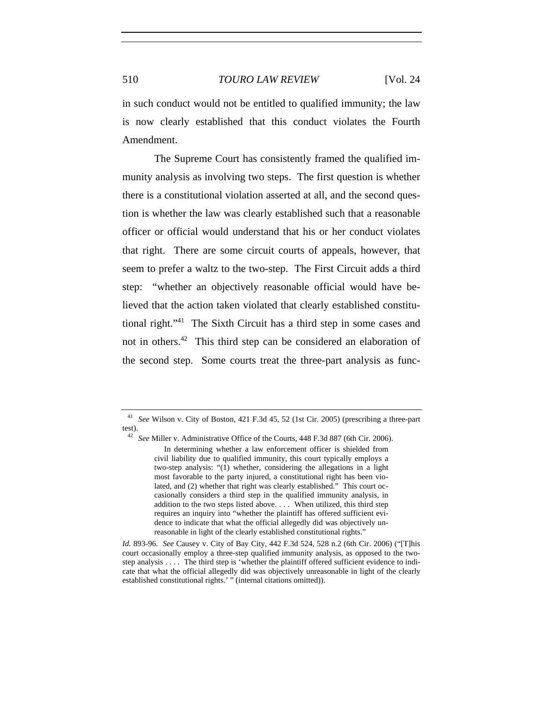in such conduct would not be entitled to qualified immunity; the law is now clearly established that this conduct violates the Fourth Amendment.

The Supreme Court has consistently framed the qualified immunity analysis as involving two steps. The first question is whether there is a constitutional violation asserted at all, and the second question is whether the law was clearly established such that a reasonable officer or official would understand that his or her conduct violates that right. There are some circuit courts of appeals, however, that seem to prefer a waltz to the two-step. The First Circuit adds a third step: "whether an objectively reasonable official would have believed that the action taken violated that clearly established constitutional right."41 The Sixth Circuit has a third step in some cases and not in others.<sup>42</sup> This third step can be considered an elaboration of the second step. Some courts treat the three-part analysis as func-

<sup>41</sup> *See* Wilson v. City of Boston, 421 F.3d 45, 52 (1st Cir. 2005) (prescribing a three-part test).

<sup>42</sup> *See* Miller v. Administrative Office of the Courts, 448 F.3d 887 (6th Cir. 2006). In determining whether a law enforcement officer is shielded from civil liability due to qualified immunity, this court typically employs a two-step analysis: "(1) whether, considering the allegations in a light most favorable to the party injured, a constitutional right has been violated, and (2) whether that right was clearly established." This court occasionally considers a third step in the qualified immunity analysis, in addition to the two steps listed above. . . . When utilized, this third step requires an inquiry into "whether the plaintiff has offered sufficient evidence to indicate that what the official allegedly did was objectively unreasonable in light of the clearly established constitutional rights."

*Id.* 893-96. *See* Causey v. City of Bay City, 442 F.3d 524, 528 n.2 (6th Cir. 2006) ("[T]his court occasionally employ a three-step qualified immunity analysis, as opposed to the twostep analysis . . . . The third step is 'whether the plaintiff offered sufficient evidence to indicate that what the official allegedly did was objectively unreasonable in light of the clearly established constitutional rights.' " (internal citations omitted)).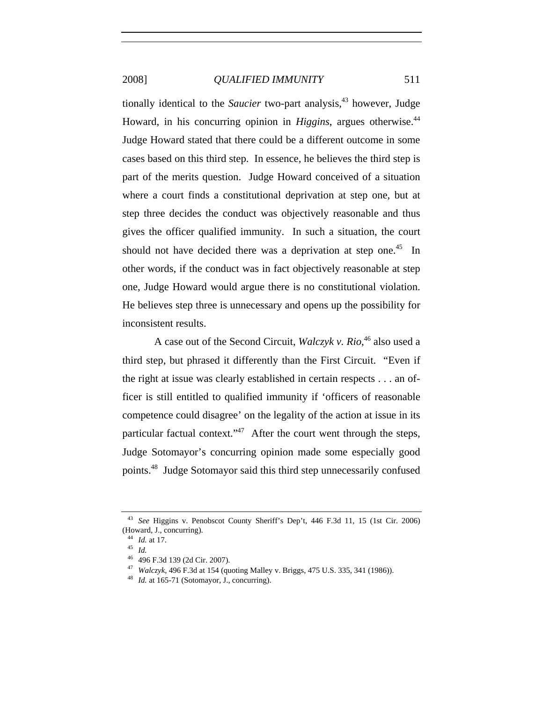tionally identical to the *Saucier* two-part analysis,<sup>43</sup> however, Judge Howard, in his concurring opinion in *Higgins*, argues otherwise.<sup>44</sup> Judge Howard stated that there could be a different outcome in some cases based on this third step. In essence, he believes the third step is part of the merits question. Judge Howard conceived of a situation where a court finds a constitutional deprivation at step one, but at step three decides the conduct was objectively reasonable and thus gives the officer qualified immunity. In such a situation, the court should not have decided there was a deprivation at step one.<sup>45</sup> In other words, if the conduct was in fact objectively reasonable at step one, Judge Howard would argue there is no constitutional violation. He believes step three is unnecessary and opens up the possibility for inconsistent results.

A case out of the Second Circuit, *Walczyk v. Rio*, 46 also used a third step, but phrased it differently than the First Circuit. "Even if the right at issue was clearly established in certain respects . . . an officer is still entitled to qualified immunity if 'officers of reasonable competence could disagree' on the legality of the action at issue in its particular factual context." $47$  After the court went through the steps, Judge Sotomayor's concurring opinion made some especially good points.48 Judge Sotomayor said this third step unnecessarily confused

<sup>43</sup> *See* Higgins v. Penobscot County Sheriff's Dep't, 446 F.3d 11, 15 (1st Cir. 2006) (Howard, J., concurring).

<sup>44</sup> *Id.* at 17. 45 *Id.*

<sup>&</sup>lt;sup>47</sup> *Walczyk*, 496 F.3d at 154 (quoting Malley v. Briggs, 475 U.S. 335, 341 (1986)). <sup>48</sup> *Id.* at 165-71 (Sotomayor, J., concurring).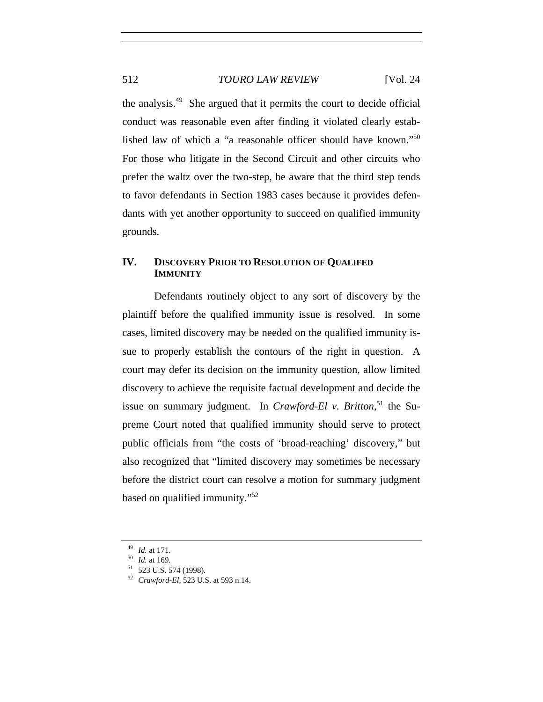the analysis.49 She argued that it permits the court to decide official conduct was reasonable even after finding it violated clearly established law of which a "a reasonable officer should have known."50 For those who litigate in the Second Circuit and other circuits who prefer the waltz over the two-step, be aware that the third step tends to favor defendants in Section 1983 cases because it provides defendants with yet another opportunity to succeed on qualified immunity grounds.

## **IV. DISCOVERY PRIOR TO RESOLUTION OF QUALIFED IMMUNITY**

Defendants routinely object to any sort of discovery by the plaintiff before the qualified immunity issue is resolved. In some cases, limited discovery may be needed on the qualified immunity issue to properly establish the contours of the right in question. A court may defer its decision on the immunity question, allow limited discovery to achieve the requisite factual development and decide the issue on summary judgment. In *Crawford-El v. Britton*<sup>51</sup>, the Supreme Court noted that qualified immunity should serve to protect public officials from "the costs of 'broad-reaching' discovery," but also recognized that "limited discovery may sometimes be necessary before the district court can resolve a motion for summary judgment based on qualified immunity."52

<sup>49</sup> *Id.* at 171.<br><sup>50</sup> *Id.* at 169.<br><sup>51</sup> 523 U.S. 574 (1998).<br><sup>52</sup> *Crawford-El*, 523 U.S. at 593 n.14.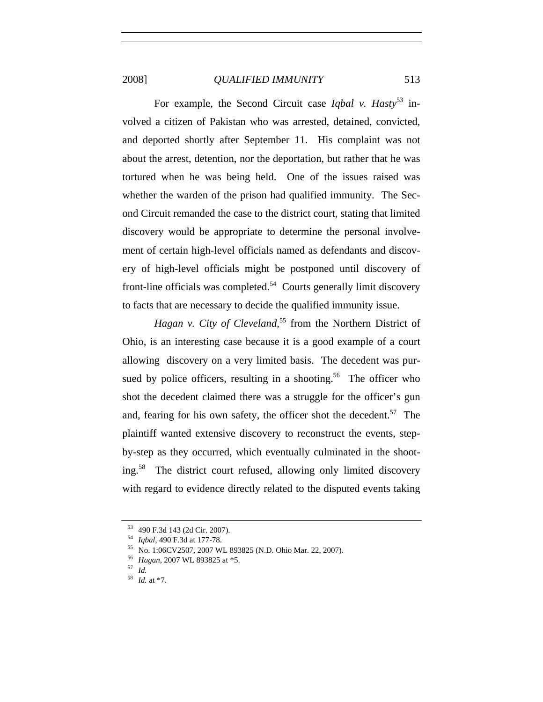For example, the Second Circuit case *Igbal v. Hasty*<sup>53</sup> involved a citizen of Pakistan who was arrested, detained, convicted, and deported shortly after September 11. His complaint was not about the arrest, detention, nor the deportation, but rather that he was tortured when he was being held. One of the issues raised was whether the warden of the prison had qualified immunity. The Second Circuit remanded the case to the district court, stating that limited discovery would be appropriate to determine the personal involvement of certain high-level officials named as defendants and discovery of high-level officials might be postponed until discovery of front-line officials was completed.<sup>54</sup> Courts generally limit discovery to facts that are necessary to decide the qualified immunity issue.

Hagan v. City of Cleveland,<sup>55</sup> from the Northern District of Ohio, is an interesting case because it is a good example of a court allowing discovery on a very limited basis. The decedent was pursued by police officers, resulting in a shooting.<sup>56</sup> The officer who shot the decedent claimed there was a struggle for the officer's gun and, fearing for his own safety, the officer shot the decedent.<sup>57</sup> The plaintiff wanted extensive discovery to reconstruct the events, stepby-step as they occurred, which eventually culminated in the shooting.58 The district court refused, allowing only limited discovery with regard to evidence directly related to the disputed events taking

<sup>53</sup> 490 F.3d 143 (2d Cir. 2007). 54 *Iqbal*, 490 F.3d at 177-78. 55 No. 1:06CV2507, 2007 WL 893825 (N.D. Ohio Mar. 22, 2007). 56 *Hagan*, 2007 WL 893825 at \*5. 57 *Id.*

<sup>58</sup> *Id.* at \*7.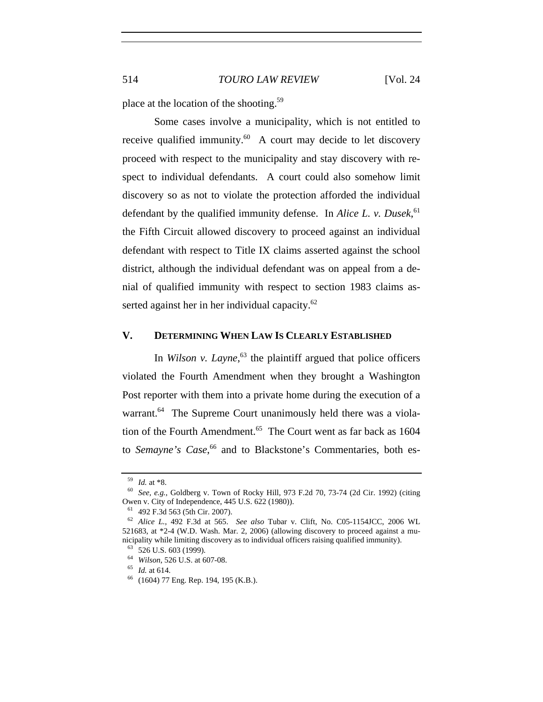place at the location of the shooting.59

Some cases involve a municipality, which is not entitled to receive qualified immunity.<sup>60</sup> A court may decide to let discovery proceed with respect to the municipality and stay discovery with respect to individual defendants. A court could also somehow limit discovery so as not to violate the protection afforded the individual defendant by the qualified immunity defense. In *Alice L. v. Dusek*, 61 the Fifth Circuit allowed discovery to proceed against an individual defendant with respect to Title IX claims asserted against the school district, although the individual defendant was on appeal from a denial of qualified immunity with respect to section 1983 claims asserted against her in her individual capacity. $62$ 

### **V. DETERMINING WHEN LAW IS CLEARLY ESTABLISHED**

In *Wilson v. Layne*, 63 the plaintiff argued that police officers violated the Fourth Amendment when they brought a Washington Post reporter with them into a private home during the execution of a warrant.<sup>64</sup> The Supreme Court unanimously held there was a violation of the Fourth Amendment.<sup>65</sup> The Court went as far back as  $1604$ to *Semayne's Case*,<sup>66</sup> and to Blackstone's Commentaries, both es-

<sup>&</sup>lt;sup>59</sup> *Id.* at \*8.<br><sup>60</sup> *See, e.g.*, Goldberg v. Town of Rocky Hill, 973 F.2d 70, 73-74 (2d Cir. 1992) (citing Owen v. City of Independence, 445 U.S. 622 (1980)).

Owen v. City of Independence, 445 U.S. 622 (1980)). 61 492 F.3d 563 (5th Cir. 2007). 62 *Alice L.*, 492 F.3d at 565. *See also* Tubar v. Clift, No. C05-1154JCC, 2006 WL 521683, at \*2-4 (W.D. Wash. Mar. 2, 2006) (allowing discovery to proceed against a municipality while limiting discovery as to individual officers raising qualified immunity).

<sup>63</sup> 526 U.S. 603 (1999). 64 *Wilson*, 526 U.S. at 607-08. 65 *Id.* at 614. 66 (1604) 77 Eng. Rep. 194, 195 (K.B.).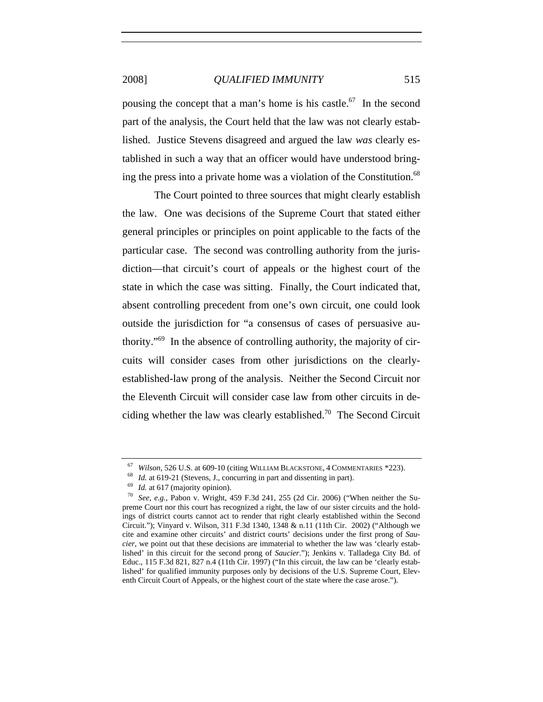pousing the concept that a man's home is his castle.<sup>67</sup> In the second part of the analysis, the Court held that the law was not clearly established. Justice Stevens disagreed and argued the law *was* clearly established in such a way that an officer would have understood bringing the press into a private home was a violation of the Constitution.<sup>68</sup>

The Court pointed to three sources that might clearly establish the law. One was decisions of the Supreme Court that stated either general principles or principles on point applicable to the facts of the particular case. The second was controlling authority from the jurisdiction—that circuit's court of appeals or the highest court of the state in which the case was sitting. Finally, the Court indicated that, absent controlling precedent from one's own circuit, one could look outside the jurisdiction for "a consensus of cases of persuasive authority."69 In the absence of controlling authority, the majority of circuits will consider cases from other jurisdictions on the clearlyestablished-law prong of the analysis. Neither the Second Circuit nor the Eleventh Circuit will consider case law from other circuits in deciding whether the law was clearly established.<sup>70</sup> The Second Circuit

<sup>&</sup>lt;sup>67</sup> Wilson, 526 U.S. at 609-10 (citing WILLIAM BLACKSTONE, 4 COMMENTARIES \*223).<br><sup>68</sup> Id. at 619-21 (Stevens, J., concurring in part and dissenting in part).<br><sup>69</sup> Id. at 617 (majority opinion).<br><sup>70</sup> *See, e.g.*, Pabon v.

preme Court nor this court has recognized a right, the law of our sister circuits and the holdings of district courts cannot act to render that right clearly established within the Second Circuit."); Vinyard v. Wilson, 311 F.3d 1340, 1348 & n.11 (11th Cir. 2002) ("Although we cite and examine other circuits' and district courts' decisions under the first prong of *Saucier*, we point out that these decisions are immaterial to whether the law was 'clearly established' in this circuit for the second prong of *Saucier*."); Jenkins v. Talladega City Bd. of Educ., 115 F.3d 821, 827 n.4 (11th Cir. 1997) ("In this circuit, the law can be 'clearly established' for qualified immunity purposes only by decisions of the U.S. Supreme Court, Eleventh Circuit Court of Appeals, or the highest court of the state where the case arose.").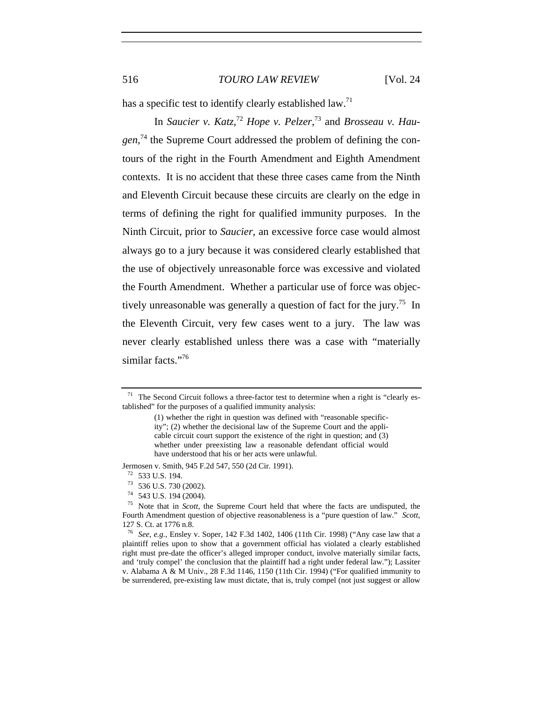has a specific test to identify clearly established law.<sup>71</sup>

In *Saucier v. Katz*, <sup>72</sup> *Hope v. Pelzer*, 73 and *Brosseau v. Hau*gen,<sup>74</sup> the Supreme Court addressed the problem of defining the contours of the right in the Fourth Amendment and Eighth Amendment contexts. It is no accident that these three cases came from the Ninth and Eleventh Circuit because these circuits are clearly on the edge in terms of defining the right for qualified immunity purposes. In the Ninth Circuit, prior to *Saucier*, an excessive force case would almost always go to a jury because it was considered clearly established that the use of objectively unreasonable force was excessive and violated the Fourth Amendment. Whether a particular use of force was objectively unreasonable was generally a question of fact for the jury.<sup>75</sup> In the Eleventh Circuit, very few cases went to a jury. The law was never clearly established unless there was a case with "materially similar facts."<sup>76</sup>

Jermosen v. Smith, 945 F.2d 547, 550 (2d Cir. 1991).<br><sup>72</sup> 533 U.S. 194.

<sup>&</sup>lt;sup>71</sup> The Second Circuit follows a three-factor test to determine when a right is "clearly established" for the purposes of a qualified immunity analysis:

<sup>(1)</sup> whether the right in question was defined with "reasonable specificity"; (2) whether the decisional law of the Supreme Court and the applicable circuit court support the existence of the right in question; and (3) whether under preexisting law a reasonable defendant official would have understood that his or her acts were unlawful.

<sup>72</sup> 533 U.S. 194. 73 536 U.S. 730 (2002). 74 543 U.S. 194 (2004). 75 Note that in *Scott*, the Supreme Court held that where the facts are undisputed, the Fourth Amendment question of objective reasonableness is a "pure question of law." *Scott*, 127 S. Ct. at 1776 n.8.

<sup>76</sup> *See, e.g.*, Ensley v. Soper, 142 F.3d 1402, 1406 (11th Cir. 1998) ("Any case law that a plaintiff relies upon to show that a government official has violated a clearly established right must pre-date the officer's alleged improper conduct, involve materially similar facts, and 'truly compel' the conclusion that the plaintiff had a right under federal law."); Lassiter v. Alabama A & M Univ., 28 F.3d 1146, 1150 (11th Cir. 1994) ("For qualified immunity to be surrendered, pre-existing law must dictate, that is, truly compel (not just suggest or allow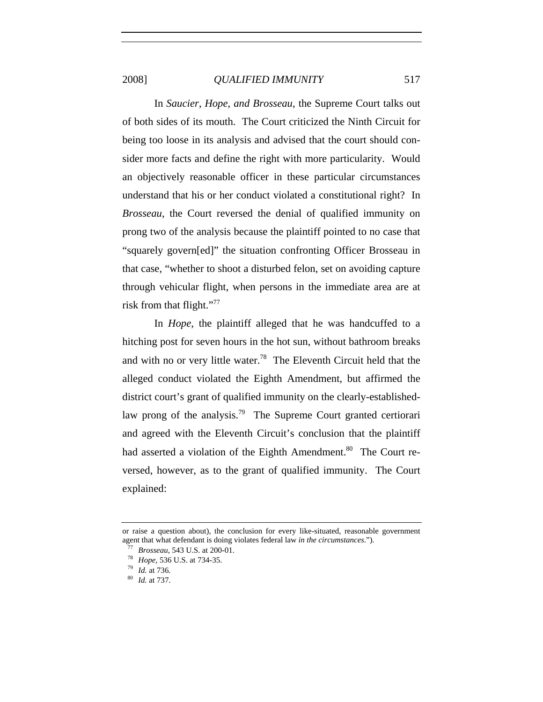In *Saucier*, *Hope*, *and Brosseau*, the Supreme Court talks out of both sides of its mouth. The Court criticized the Ninth Circuit for being too loose in its analysis and advised that the court should consider more facts and define the right with more particularity. Would an objectively reasonable officer in these particular circumstances understand that his or her conduct violated a constitutional right? In *Brosseau*, the Court reversed the denial of qualified immunity on prong two of the analysis because the plaintiff pointed to no case that "squarely govern[ed]" the situation confronting Officer Brosseau in that case, "whether to shoot a disturbed felon, set on avoiding capture through vehicular flight, when persons in the immediate area are at risk from that flight."<sup>77</sup>

In *Hope*, the plaintiff alleged that he was handcuffed to a hitching post for seven hours in the hot sun, without bathroom breaks and with no or very little water.<sup>78</sup> The Eleventh Circuit held that the alleged conduct violated the Eighth Amendment, but affirmed the district court's grant of qualified immunity on the clearly-establishedlaw prong of the analysis.<sup>79</sup> The Supreme Court granted certiorari and agreed with the Eleventh Circuit's conclusion that the plaintiff had asserted a violation of the Eighth Amendment.<sup>80</sup> The Court reversed, however, as to the grant of qualified immunity. The Court explained:

or raise a question about), the conclusion for every like-situated, reasonable government agent that what defendant is doing violates federal law *in the circumstances*.").<br>
<sup>77</sup> *Brosseau*, 543 U.S. at 200-01.<br>
<sup>78</sup> *Hope*, 536 U.S. at 734-35.<br>
<sup>79</sup> *Id.* at 736.<br>
<sup>80</sup> *Id.* at 737.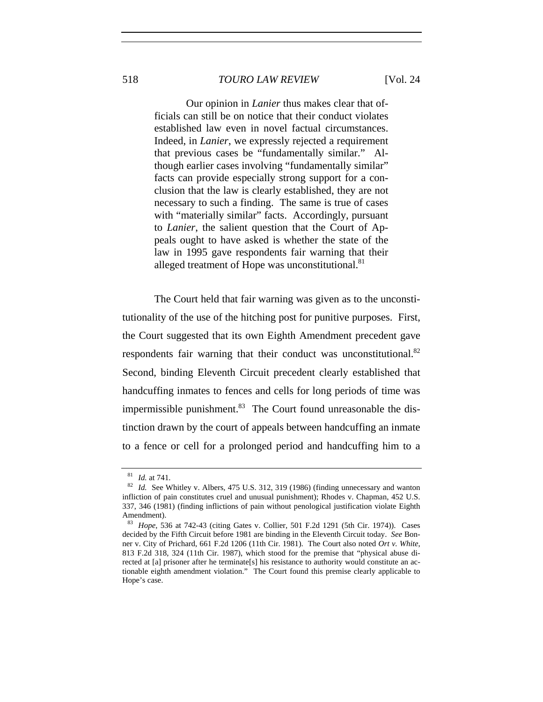Our opinion in *Lanier* thus makes clear that officials can still be on notice that their conduct violates established law even in novel factual circumstances. Indeed, in *Lanier*, we expressly rejected a requirement that previous cases be "fundamentally similar." Although earlier cases involving "fundamentally similar" facts can provide especially strong support for a conclusion that the law is clearly established, they are not necessary to such a finding. The same is true of cases with "materially similar" facts. Accordingly, pursuant to *Lanier*, the salient question that the Court of Appeals ought to have asked is whether the state of the law in 1995 gave respondents fair warning that their alleged treatment of Hope was unconstitutional.<sup>81</sup>

The Court held that fair warning was given as to the unconstitutionality of the use of the hitching post for punitive purposes. First, the Court suggested that its own Eighth Amendment precedent gave respondents fair warning that their conduct was unconstitutional. $82$ Second, binding Eleventh Circuit precedent clearly established that handcuffing inmates to fences and cells for long periods of time was impermissible punishment. $83$  The Court found unreasonable the distinction drawn by the court of appeals between handcuffing an inmate to a fence or cell for a prolonged period and handcuffing him to a

<sup>81</sup> *Id.* at 741. 82 *Id.* See Whitley v. Albers*,* 475 U.S. 312, 319 (1986) (finding unnecessary and wanton infliction of pain constitutes cruel and unusual punishment); Rhodes v. Chapman*,* 452 U.S. 337, 346 (1981) (finding inflictions of pain without penological justification violate Eighth Amendment).

<sup>83</sup> *Hope*, 536 at 742-43 (citing Gates v. Collier, 501 F.2d 1291 (5th Cir. 1974)). Cases decided by the Fifth Circuit before 1981 are binding in the Eleventh Circuit today. *See* Bonner v. City of Prichard, 661 F.2d 1206 (11th Cir. 1981). The Court also noted *Ort v. White*, 813 F.2d 318, 324 (11th Cir. 1987), which stood for the premise that "physical abuse directed at [a] prisoner after he terminate[s] his resistance to authority would constitute an actionable eighth amendment violation." The Court found this premise clearly applicable to Hope's case.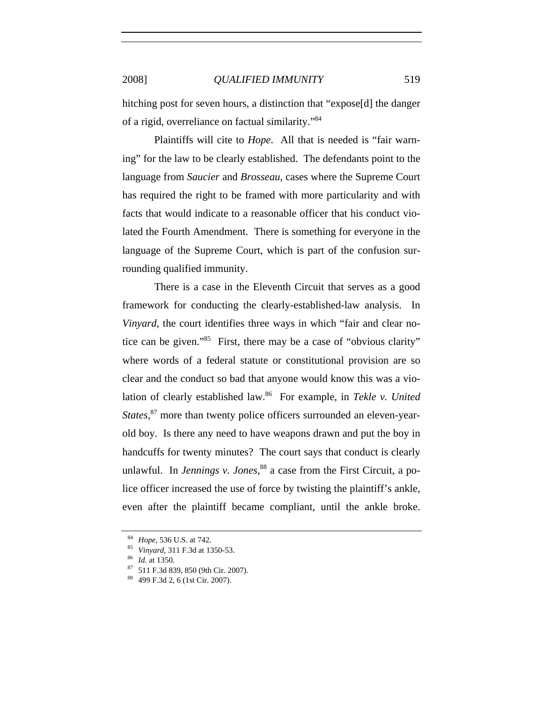hitching post for seven hours, a distinction that "expose[d] the danger of a rigid, overreliance on factual similarity."84

Plaintiffs will cite to *Hope*. All that is needed is "fair warning" for the law to be clearly established. The defendants point to the language from *Saucier* and *Brosseau*, cases where the Supreme Court has required the right to be framed with more particularity and with facts that would indicate to a reasonable officer that his conduct violated the Fourth Amendment. There is something for everyone in the language of the Supreme Court, which is part of the confusion surrounding qualified immunity.

There is a case in the Eleventh Circuit that serves as a good framework for conducting the clearly-established-law analysis. In *Vinyard*, the court identifies three ways in which "fair and clear notice can be given."85 First, there may be a case of "obvious clarity" where words of a federal statute or constitutional provision are so clear and the conduct so bad that anyone would know this was a violation of clearly established law.<sup>86</sup> For example, in *Tekle v. United* States,<sup>87</sup> more than twenty police officers surrounded an eleven-yearold boy. Is there any need to have weapons drawn and put the boy in handcuffs for twenty minutes? The court says that conduct is clearly unlawful. In *Jennings v. Jones*, 88 a case from the First Circuit, a police officer increased the use of force by twisting the plaintiff's ankle, even after the plaintiff became compliant, until the ankle broke.

<sup>84</sup> *Hope*, 536 U.S. at 742.<br><sup>85</sup> *Vinyard*, 311 F.3d at 1350-53.<br><sup>86</sup> *Id.* at 1350.<br><sup>87</sup> 511 F.3d 839, 850 (9th Cir. 2007).<br><sup>88</sup> 499 F.3d 2, 6 (1st Cir. 2007).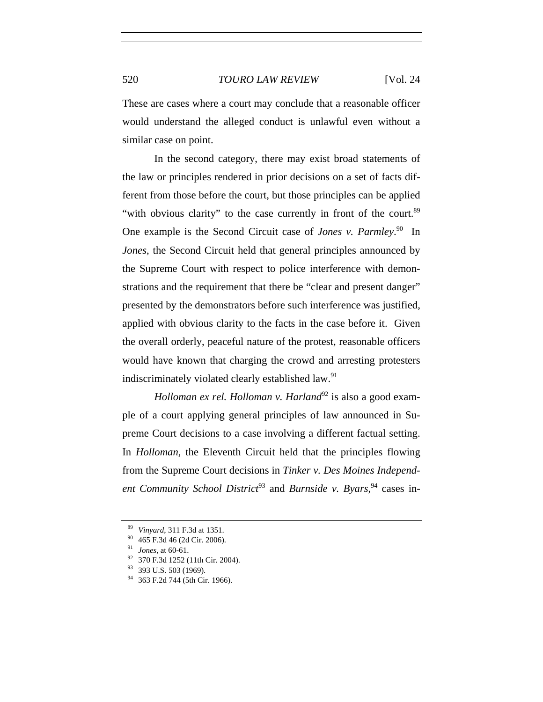These are cases where a court may conclude that a reasonable officer would understand the alleged conduct is unlawful even without a similar case on point.

In the second category, there may exist broad statements of the law or principles rendered in prior decisions on a set of facts different from those before the court, but those principles can be applied "with obvious clarity" to the case currently in front of the court.<sup>89</sup> One example is the Second Circuit case of *Jones v. Parmley*.<sup>90</sup> In *Jones*, the Second Circuit held that general principles announced by the Supreme Court with respect to police interference with demonstrations and the requirement that there be "clear and present danger" presented by the demonstrators before such interference was justified, applied with obvious clarity to the facts in the case before it. Given the overall orderly, peaceful nature of the protest, reasonable officers would have known that charging the crowd and arresting protesters indiscriminately violated clearly established law.<sup>91</sup>

*Holloman ex rel. Holloman v. Harland*<sup>92</sup> is also a good example of a court applying general principles of law announced in Supreme Court decisions to a case involving a different factual setting. In *Holloman*, the Eleventh Circuit held that the principles flowing from the Supreme Court decisions in *Tinker v. Des Moines Independ*ent Community School District<sup>93</sup> and Burnside v. Byars, <sup>94</sup> cases in-

<sup>89</sup> *Vinyard*, 311 F.3d at 1351.<br>
90 465 F.3d 46 (2d Cir. 2006).<br>
91 *Jones*, at 60-61.<br>
92 370 F.3d 1252 (11th Cir. 2004).<br>
93 393 U.S. 503 (1969).<br>
94 363 F.2d 744 (5th Cir. 1966).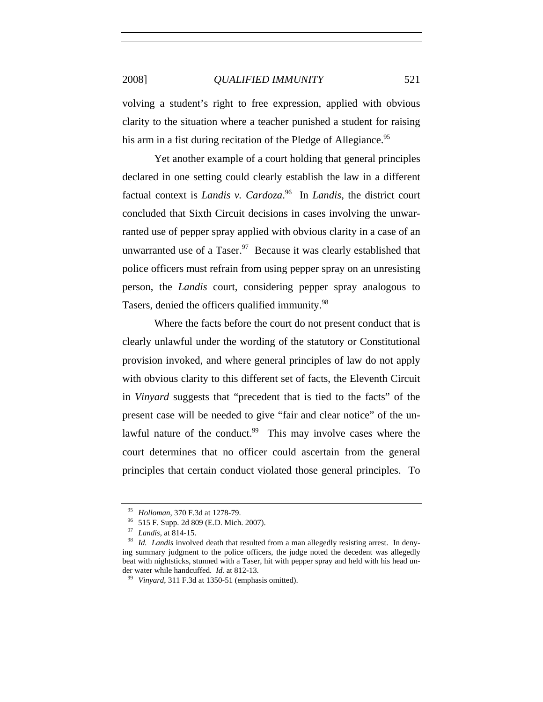volving a student's right to free expression, applied with obvious clarity to the situation where a teacher punished a student for raising his arm in a fist during recitation of the Pledge of Allegiance.<sup>95</sup>

Yet another example of a court holding that general principles declared in one setting could clearly establish the law in a different factual context is *Landis v. Cardoza*. 96 In *Landis*, the district court concluded that Sixth Circuit decisions in cases involving the unwarranted use of pepper spray applied with obvious clarity in a case of an unwarranted use of a Taser.<sup>97</sup> Because it was clearly established that police officers must refrain from using pepper spray on an unresisting person, the *Landis* court, considering pepper spray analogous to Tasers, denied the officers qualified immunity.<sup>98</sup>

Where the facts before the court do not present conduct that is clearly unlawful under the wording of the statutory or Constitutional provision invoked, and where general principles of law do not apply with obvious clarity to this different set of facts, the Eleventh Circuit in *Vinyard* suggests that "precedent that is tied to the facts" of the present case will be needed to give "fair and clear notice" of the unlawful nature of the conduct.<sup>99</sup> This may involve cases where the court determines that no officer could ascertain from the general principles that certain conduct violated those general principles. To

<sup>&</sup>lt;sup>95</sup> *Holloman*, 370 F.3d at 1278-79.<br><sup>96</sup> 515 F. Supp. 2d 809 (E.D. Mich. 2007).<br><sup>97</sup> *Landis*, at 814-15.<br><sup>98</sup> *Id. Landis* involved death that resulted from a man allegedly resisting arrest. In denying summary judgment to the police officers, the judge noted the decedent was allegedly beat with nightsticks, stunned with a Taser, hit with pepper spray and held with his head under water while handcuffed. *Id.* at 812-13.<br><sup>99</sup> *Vinyard*, 311 F.3d at 1350-51 (emphasis omitted).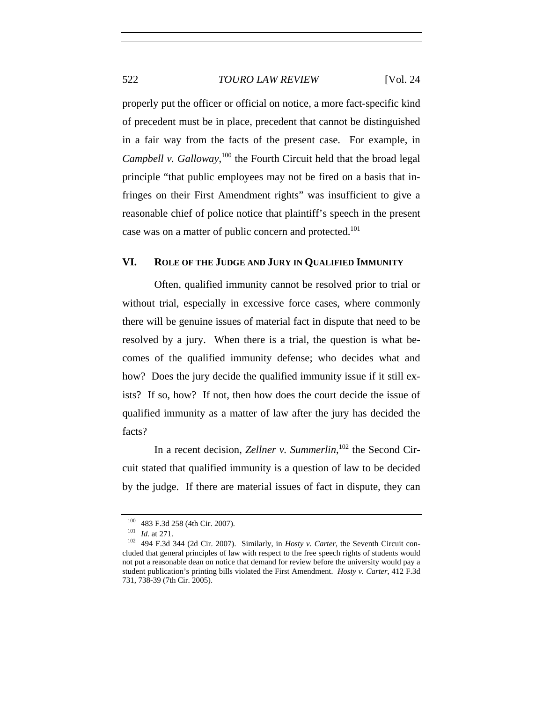properly put the officer or official on notice, a more fact-specific kind of precedent must be in place, precedent that cannot be distinguished in a fair way from the facts of the present case. For example, in Campbell v. Galloway,<sup>100</sup> the Fourth Circuit held that the broad legal principle "that public employees may not be fired on a basis that infringes on their First Amendment rights" was insufficient to give a reasonable chief of police notice that plaintiff's speech in the present case was on a matter of public concern and protected.<sup>101</sup>

### **VI. ROLE OF THE JUDGE AND JURY IN QUALIFIED IMMUNITY**

Often, qualified immunity cannot be resolved prior to trial or without trial, especially in excessive force cases, where commonly there will be genuine issues of material fact in dispute that need to be resolved by a jury. When there is a trial, the question is what becomes of the qualified immunity defense; who decides what and how? Does the jury decide the qualified immunity issue if it still exists? If so, how? If not, then how does the court decide the issue of qualified immunity as a matter of law after the jury has decided the facts?

In a recent decision, *Zellner v. Summerlin*, 102 the Second Circuit stated that qualified immunity is a question of law to be decided by the judge. If there are material issues of fact in dispute, they can

<sup>100</sup> 483 F.3d 258 (4th Cir. 2007). 101 *Id.* at 271. 102 494 F.3d 344 (2d Cir. 2007). Similarly, in *Hosty v. Carter*, the Seventh Circuit concluded that general principles of law with respect to the free speech rights of students would not put a reasonable dean on notice that demand for review before the university would pay a student publication's printing bills violated the First Amendment. *Hosty v. Carter*, 412 F.3d 731, 738-39 (7th Cir. 2005).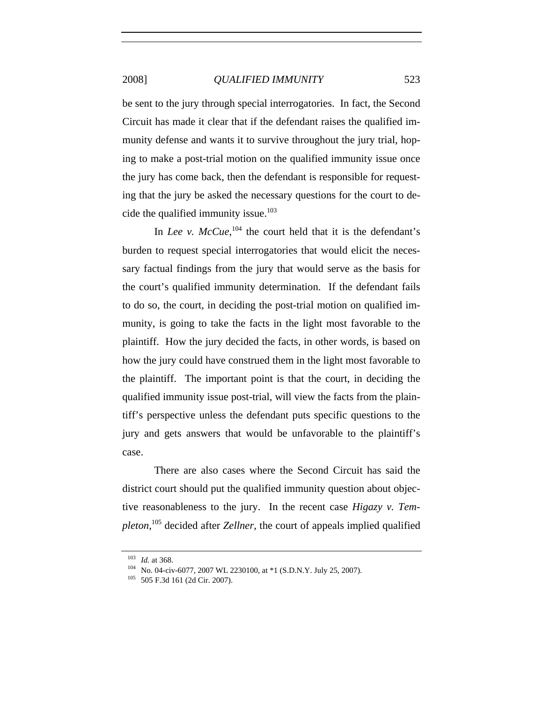be sent to the jury through special interrogatories. In fact, the Second Circuit has made it clear that if the defendant raises the qualified immunity defense and wants it to survive throughout the jury trial, hoping to make a post-trial motion on the qualified immunity issue once the jury has come back, then the defendant is responsible for requesting that the jury be asked the necessary questions for the court to decide the qualified immunity issue.<sup>103</sup>

In *Lee* v.  $McCue$ ,  $^{104}$  the court held that it is the defendant's burden to request special interrogatories that would elicit the necessary factual findings from the jury that would serve as the basis for the court's qualified immunity determination. If the defendant fails to do so, the court, in deciding the post-trial motion on qualified immunity, is going to take the facts in the light most favorable to the plaintiff. How the jury decided the facts, in other words, is based on how the jury could have construed them in the light most favorable to the plaintiff. The important point is that the court, in deciding the qualified immunity issue post-trial, will view the facts from the plaintiff's perspective unless the defendant puts specific questions to the jury and gets answers that would be unfavorable to the plaintiff's case.

There are also cases where the Second Circuit has said the district court should put the qualified immunity question about objective reasonableness to the jury. In the recent case *Higazy v. Templeton*, 105 decided after *Zellner*, the court of appeals implied qualified

<sup>103</sup> *Id.* at 368.<br><sup>104</sup> No. 04-civ-6077, 2007 WL 2230100, at \*1 (S.D.N.Y. July 25, 2007).<br><sup>105</sup> 505 F.3d 161 (2d Cir. 2007).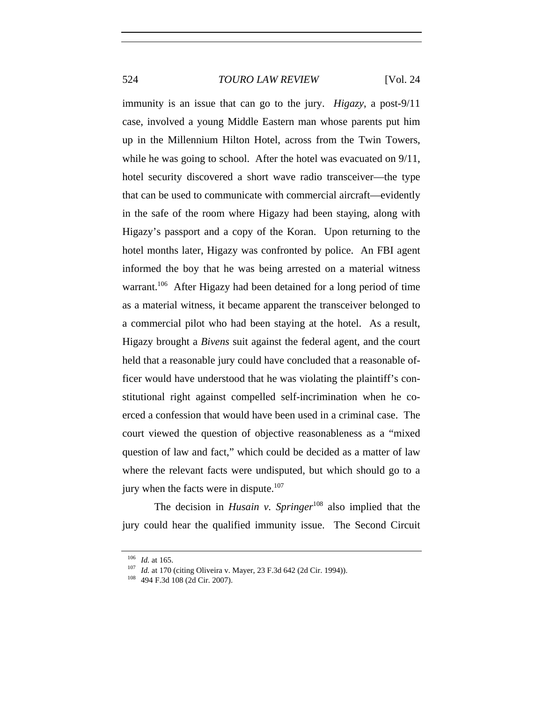immunity is an issue that can go to the jury. *Higazy*, a post-9/11 case, involved a young Middle Eastern man whose parents put him up in the Millennium Hilton Hotel, across from the Twin Towers, while he was going to school. After the hotel was evacuated on  $9/11$ , hotel security discovered a short wave radio transceiver—the type that can be used to communicate with commercial aircraft—evidently in the safe of the room where Higazy had been staying, along with Higazy's passport and a copy of the Koran. Upon returning to the hotel months later, Higazy was confronted by police. An FBI agent informed the boy that he was being arrested on a material witness warrant.<sup>106</sup> After Higazy had been detained for a long period of time as a material witness, it became apparent the transceiver belonged to a commercial pilot who had been staying at the hotel. As a result, Higazy brought a *Bivens* suit against the federal agent, and the court held that a reasonable jury could have concluded that a reasonable officer would have understood that he was violating the plaintiff's constitutional right against compelled self-incrimination when he coerced a confession that would have been used in a criminal case. The court viewed the question of objective reasonableness as a "mixed question of law and fact," which could be decided as a matter of law where the relevant facts were undisputed, but which should go to a jury when the facts were in dispute.<sup>107</sup>

The decision in *Husain v. Springer*<sup>108</sup> also implied that the jury could hear the qualified immunity issue. The Second Circuit

<sup>&</sup>lt;sup>106</sup> *Id.* at 165.<br><sup>107</sup> *Id.* at 170 (citing Oliveira v. Mayer, 23 F.3d 642 (2d Cir. 1994)).<br><sup>108</sup> 494 F.3d 108 (2d Cir. 2007).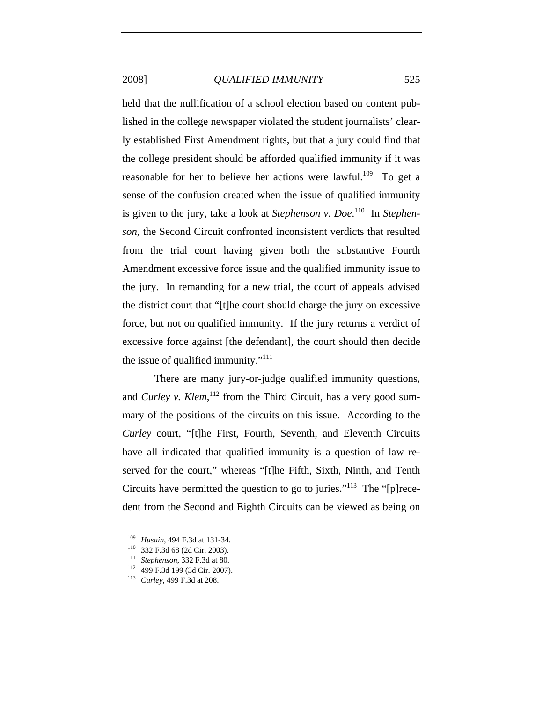held that the nullification of a school election based on content published in the college newspaper violated the student journalists' clearly established First Amendment rights, but that a jury could find that the college president should be afforded qualified immunity if it was reasonable for her to believe her actions were lawful.<sup>109</sup> To get a sense of the confusion created when the issue of qualified immunity is given to the jury, take a look at *Stephenson v. Doe*.<sup>110</sup> In *Stephenson*, the Second Circuit confronted inconsistent verdicts that resulted from the trial court having given both the substantive Fourth Amendment excessive force issue and the qualified immunity issue to the jury. In remanding for a new trial, the court of appeals advised the district court that "[t]he court should charge the jury on excessive force, but not on qualified immunity. If the jury returns a verdict of excessive force against [the defendant], the court should then decide the issue of qualified immunity."<sup>111</sup>

There are many jury-or-judge qualified immunity questions, and *Curley v. Klem*,<sup>112</sup> from the Third Circuit, has a very good summary of the positions of the circuits on this issue. According to the *Curley* court, "[t]he First, Fourth, Seventh, and Eleventh Circuits have all indicated that qualified immunity is a question of law reserved for the court," whereas "[t]he Fifth, Sixth, Ninth, and Tenth Circuits have permitted the question to go to juries."113 The "[p]recedent from the Second and Eighth Circuits can be viewed as being on

<sup>109</sup> *Husain*, 494 F.3d at 131-34. 110 332 F.3d 68 (2d Cir. 2003). 111 *Stephenson*, 332 F.3d at 80. 112 499 F.3d 199 (3d Cir. 2007). 113 *Curley*, 499 F.3d at 208.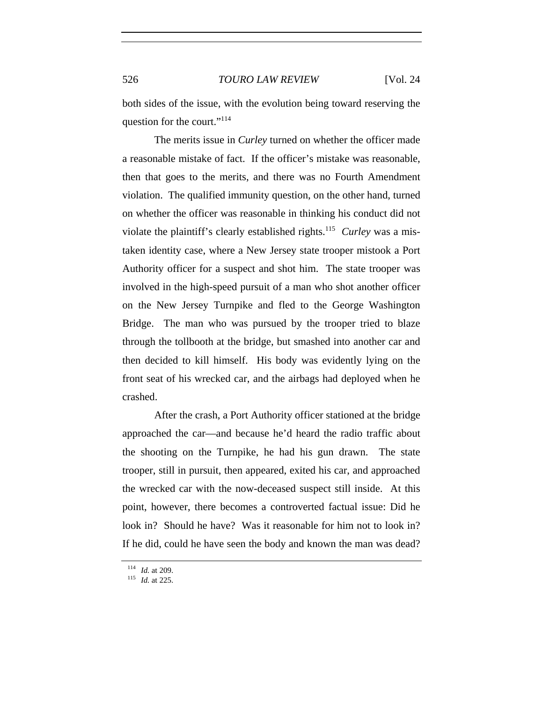both sides of the issue, with the evolution being toward reserving the question for the court."114

The merits issue in *Curley* turned on whether the officer made a reasonable mistake of fact. If the officer's mistake was reasonable, then that goes to the merits, and there was no Fourth Amendment violation. The qualified immunity question, on the other hand, turned on whether the officer was reasonable in thinking his conduct did not violate the plaintiff's clearly established rights.115 *Curley* was a mistaken identity case, where a New Jersey state trooper mistook a Port Authority officer for a suspect and shot him. The state trooper was involved in the high-speed pursuit of a man who shot another officer on the New Jersey Turnpike and fled to the George Washington Bridge. The man who was pursued by the trooper tried to blaze through the tollbooth at the bridge, but smashed into another car and then decided to kill himself. His body was evidently lying on the front seat of his wrecked car, and the airbags had deployed when he crashed.

After the crash, a Port Authority officer stationed at the bridge approached the car—and because he'd heard the radio traffic about the shooting on the Turnpike, he had his gun drawn. The state trooper, still in pursuit, then appeared, exited his car, and approached the wrecked car with the now-deceased suspect still inside. At this point, however, there becomes a controverted factual issue: Did he look in? Should he have? Was it reasonable for him not to look in? If he did, could he have seen the body and known the man was dead?

<sup>114</sup> *Id.* at 209. 115 *Id.* at 225.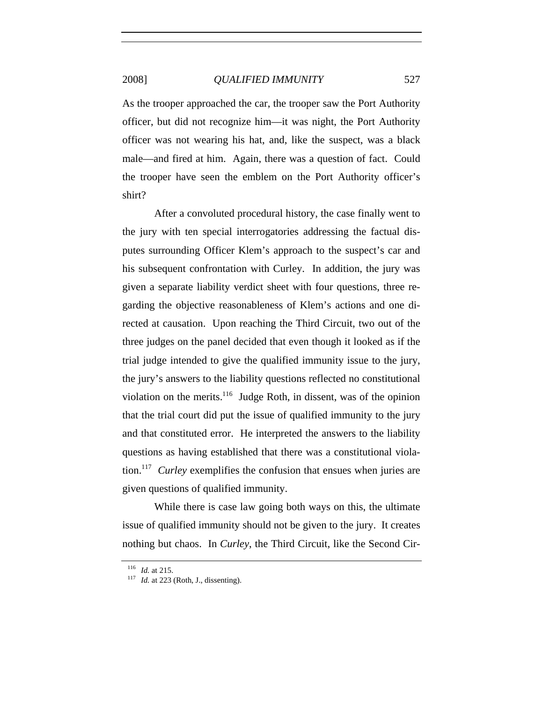As the trooper approached the car, the trooper saw the Port Authority officer, but did not recognize him—it was night, the Port Authority officer was not wearing his hat, and, like the suspect, was a black male—and fired at him. Again, there was a question of fact. Could the trooper have seen the emblem on the Port Authority officer's shirt?

After a convoluted procedural history, the case finally went to the jury with ten special interrogatories addressing the factual disputes surrounding Officer Klem's approach to the suspect's car and his subsequent confrontation with Curley. In addition, the jury was given a separate liability verdict sheet with four questions, three regarding the objective reasonableness of Klem's actions and one directed at causation. Upon reaching the Third Circuit, two out of the three judges on the panel decided that even though it looked as if the trial judge intended to give the qualified immunity issue to the jury, the jury's answers to the liability questions reflected no constitutional violation on the merits.<sup>116</sup> Judge Roth, in dissent, was of the opinion that the trial court did put the issue of qualified immunity to the jury and that constituted error. He interpreted the answers to the liability questions as having established that there was a constitutional violation.117 *Curley* exemplifies the confusion that ensues when juries are given questions of qualified immunity.

While there is case law going both ways on this, the ultimate issue of qualified immunity should not be given to the jury. It creates nothing but chaos. In *Curley*, the Third Circuit, like the Second Cir-

<sup>116</sup> *Id.* at 215. 117 *Id.* at 223 (Roth, J., dissenting).